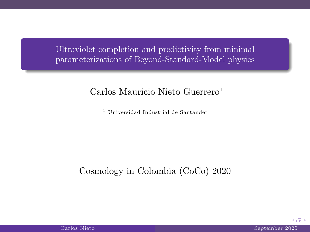Ultraviolet completion and predictivity from minimal parameterizations of Beyond-Standard-Model physics

Carlos Mauricio Nieto Guerrero<sup>1</sup>

<sup>1</sup> Universidad Industrial de Santander

Cosmology in Colombia (CoCo) 2020

 $+ 4 + 1 + 1 = 1 + 1 = 1 + 1 = 1$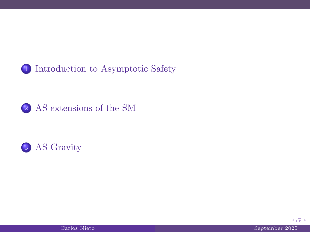

#### 2 [AS extensions of the SM](#page-11-0)





(例)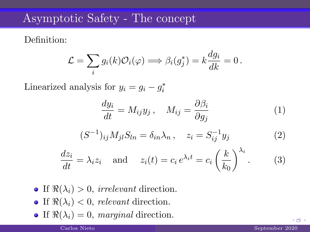### Asymptotic Safety - The concept

Definition:

$$
\mathcal{L} = \sum_i g_i(k) \mathcal{O}_i(\varphi) \Longrightarrow \beta_i(g_j^*) = k \frac{dg_i}{dk} = 0 \,.
$$

Linearized analysis for  $y_i = g_i - g_i^*$ 

$$
\frac{dy_i}{dt} = M_{ij}y_j, \quad M_{ij} = \frac{\partial \beta_i}{\partial g_j} \tag{1}
$$

$$
(S^{-1})_{ij} M_{jl} S_{ln} = \delta_{in} \lambda_n, \quad z_i = S_{ij}^{-1} y_j \tag{2}
$$

$$
\frac{dz_i}{dt} = \lambda_i z_i \quad \text{and} \quad z_i(t) = c_i e^{\lambda_i t} = c_i \left(\frac{k}{k_0}\right)^{\lambda_i}.
$$
 (3)

- If  $\Re(\lambda_i) > 0$ , irrelevant direction.
- If  $\Re(\lambda_i) < 0$ , relevant direction.
- If  $\Re(\lambda_i) = 0$ , marginal direction.

<span id="page-2-0"></span> $+$   $-$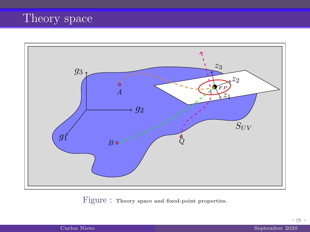## Theory space



Figure : Theory space and fixed-point properties.

4 伊 ト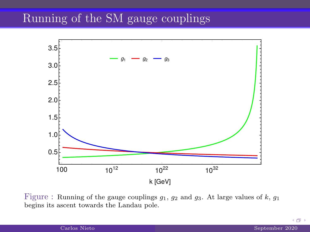## Running of the SM gauge couplings



Figure : Running of the gauge couplings  $g_1, g_2$  and  $g_3$ . At large values of k,  $g_1$ begins its ascent towards the Landau pole.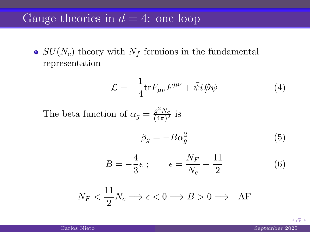#### Gauge theories in  $d = 4$ : one loop

•  $SU(N_c)$  theory with  $N_f$  fermions in the fundamental representation

$$
\mathcal{L} = -\frac{1}{4} \text{tr} F_{\mu\nu} F^{\mu\nu} + \bar{\psi} i \not{\!\!D} \psi \tag{4}
$$

The beta function of  $\alpha_g = \frac{g^2 N_c}{(4\pi)^2}$  $\frac{g_{1}v_{c}}{(4\pi)^{2}}$  is

$$
\beta_g = -B\alpha_g^2 \tag{5}
$$

$$
B = -\frac{4}{3}\epsilon \; ; \qquad \epsilon = \frac{N_F}{N_c} - \frac{11}{2} \tag{6}
$$

$$
N_F < \frac{11}{2} N_c \Longrightarrow \epsilon < 0 \Longrightarrow B > 0 \Longrightarrow \text{ AF}
$$

 $+ 4 + 1 + 1 = 1 + 1 = 1 + 1 = 1$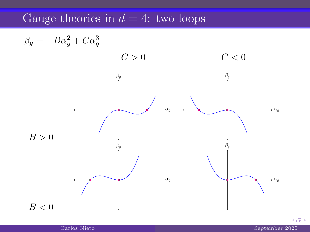## Gauge theories in  $d = 4$ : two loops



Carlos Nieto September 2020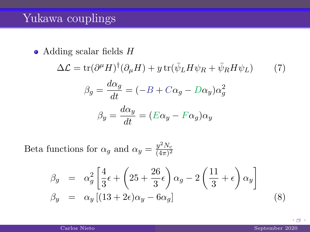### Yukawa couplings

 $\bullet$  Adding scalar fields  $H$ 

$$
\Delta \mathcal{L} = \text{tr}(\partial^{\mu} H)^{\dagger} (\partial_{\mu} H) + y \text{ tr}(\bar{\psi}_{L} H \psi_{R} + \bar{\psi}_{R} H \psi_{L}) \qquad (7)
$$

$$
\beta_{g} = \frac{d\alpha_{g}}{dt} = (-B + C\alpha_{g} - D\alpha_{y})\alpha_{g}^{2}
$$

$$
\beta_{y} = \frac{d\alpha_{y}}{dt} = (E\alpha_{y} - F\alpha_{g})\alpha_{y}
$$

Beta functions for  $\alpha_g$  and  $\alpha_y = \frac{y^2 N_c}{(4\pi)^2}$  $\overline{(4\pi)^2}$ 

$$
\beta_g = \alpha_g^2 \left[ \frac{4}{3} \epsilon + \left( 25 + \frac{26}{3} \epsilon \right) \alpha_g - 2 \left( \frac{11}{3} + \epsilon \right) \alpha_y \right]
$$
  
\n
$$
\beta_y = \alpha_y \left[ (13 + 2\epsilon) \alpha_y - 6\alpha_g \right]
$$
\n(8)

(例)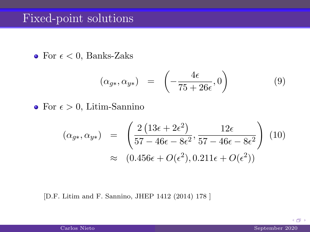#### Fixed-point solutions

• For  $\epsilon$  < 0, Banks-Zaks

$$
(\alpha_{g*}, \alpha_{y*}) = \left(-\frac{4\epsilon}{75 + 26\epsilon}, 0\right) \tag{9}
$$

• For  $\epsilon > 0$ , Litim-Sannino

$$
(\alpha_{g*}, \alpha_{y*}) = \left(\frac{2(13\epsilon + 2\epsilon^2)}{57 - 46\epsilon - 8\epsilon^2}, \frac{12\epsilon}{57 - 46\epsilon - 8\epsilon^2}\right) (10)
$$

$$
\approx (0.456\epsilon + O(\epsilon^2), 0.211\epsilon + O(\epsilon^2))
$$

[D.F. Litim and F. Sannino, JHEP 1412 (2014) 178 ]

(例)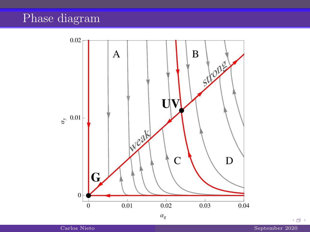## Phase diagram

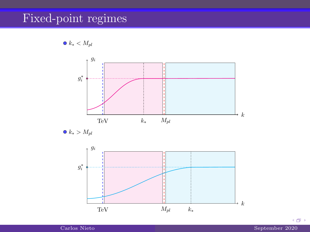## Fixed-point regimes





 $k_* > M_{pl}$ 



 $+5$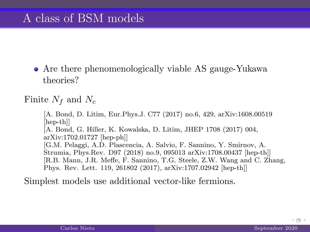Are there phenomenologically viable AS gauge-Yukawa theories?

Finite  $N_f$  and  $N_c$ 

[A. Bond, D. Litim, Eur.Phys.J. C77 (2017) no.6, 429, arXiv:1608.00519 [hep-th]] [A. Bond, G. Hiller, K. Kowalska, D. Litim, JHEP 1708 (2017) 004, arXiv:1702.01727 [hep-ph]] [G.M. Pelaggi, A.D. Plascencia, A. Salvio, F. Sannino, Y. Smirnov, A. Strumia, Phys.Rev. D97 (2018) no.9, 095013 arXiv:1708.00437 [hep-th]] [R.B. Mann, J.R. Meffe, F. Sannino, T.G. Steele, Z.W. Wang and C. Zhang, Phys. Rev. Lett. 119, 261802 (2017), arXiv:1707.02942 [hep-th]]

<span id="page-11-0"></span>Simplest models use additional vector-like fermions.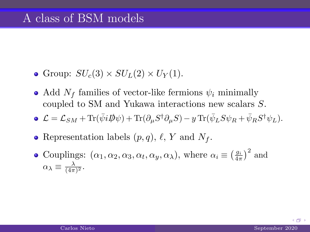- Group:  $SU_c(3) \times SU_L(2) \times U_Y(1)$ .
- Add  $N_f$  families of vector-like fermions  $\psi_i$  minimally coupled to SM and Yukawa interactions new scalars S.
- $\mathcal{L} = \mathcal{L}_{SM} + \text{Tr}(\bar{\psi}i\rlap{\,/}D\psi) + \text{Tr}(\partial_{\mu}S^{\dagger}\partial_{\mu}S) y \text{Tr}(\bar{\psi}_LS\psi_R + \bar{\psi}_RS^{\dagger}\psi_L).$
- Representation labels  $(p, q)$ ,  $\ell$ , Y and  $N_f$ .
- Couplings:  $(\alpha_1, \alpha_2, \alpha_3, \alpha_t, \alpha_y, \alpha_\lambda)$ , where  $\alpha_i \equiv \left(\frac{g_i}{4\pi}\right)^2$  and  $\alpha_{\lambda} \equiv \frac{\lambda}{(4\pi)^2}.$

 $+$   $-$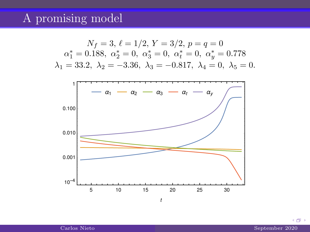### A promising model



 $+ 4 + 1 + 1 = 1 + 1 = 1 + 1 = 1$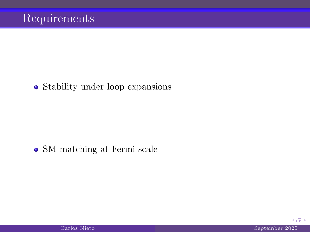#### • Stability under loop expansions

#### SM matching at Fermi scale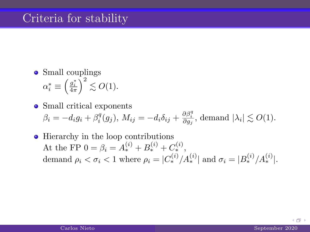#### Criteria for stability

- Small couplings  $\alpha_i^* \equiv \left(\frac{g_i^*}{4\pi}\right)^2 \lesssim O(1).$
- Small critical exponents  $\beta_i = -d_i g_i + \beta_i^q(g_j), M_{ij} = -d_i \delta_{ij} + \frac{\partial \beta_i^q}{\partial g_j}, \text{ demand } |\lambda_i| \lesssim O(1).$
- Hierarchy in the loop contributions At the FP  $0 = \beta_i = A_*^{(i)} + B_*^{(i)} + C_*^{(i)},$ demand  $\rho_i < \sigma_i < 1$  where  $\rho_i = |C_*^{(i)}/A_*^{(i)}|$  and  $\sigma_i = |B_*^{(i)}/A_*^{(i)}|$ .

4 伊 )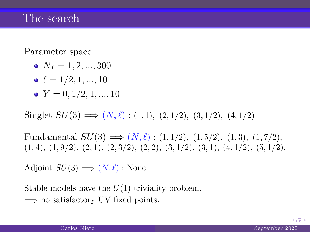#### The search

Parameter space

- $N_f = 1, 2, ..., 300$
- $\bullet \ell = 1/2, 1, ..., 10$
- $\bullet Y = 0.1/2, 1, ..., 10$

Singlet  $SU(3) \Longrightarrow (N, \ell) : (1, 1), (2, 1/2), (3, 1/2), (4, 1/2)$ 

Fundamental  $SU(3) \implies (N, \ell) : (1, 1/2), (1, 5/2), (1, 3), (1, 7/2),$  $(1, 4), (1, 9/2), (2, 1), (2, 3/2), (2, 2), (3, 1/2), (3, 1), (4, 1/2), (5, 1/2).$ 

Adjoint  $SU(3) \Longrightarrow (N, \ell) :$  None

Stable models have the  $U(1)$  triviality problem.  $\Rightarrow$  no satisfactory UV fixed points.

4 @ )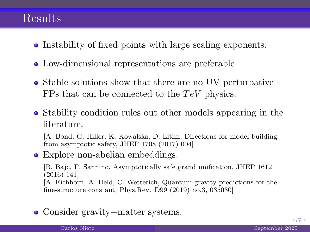#### Results

- Instability of fixed points with large scaling exponents.
- Low-dimensional representations are preferable
- Stable solutions show that there are no UV perturbative FPs that can be connected to the  $TeV$  physics.
- Stability condition rules out other models appearing in the literature.

[A. Bond, G. Hiller, K. Kowalska, D. Litim, Directions for model building from asymptotic safety, JHEP 1708 (2017) 004]

• Explore non-abelian embeddings.

[B. Bajc, F. Sannino, Asymptotically safe grand unification, JHEP 1612 (2016) 141] [A. Eichhorn, A. Held, C. Wetterich, Quantum-gravity predictions for the fine-structure constant, Phys.Rev. D99 (2019) no.3, 035030]

• Consider gravity+matter systems.

 $+ 4 + 1 + 1 = 1 + 1 = 1 + 1 = 1$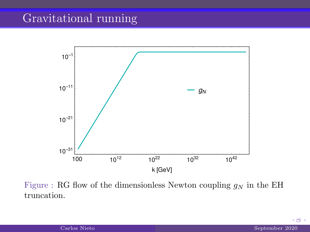## Gravitational running



Figure : RG flow of the dimensionless Newton coupling  $g_N$  in the EH truncation.

Carlos Nieto **September 2020** 

<span id="page-18-0"></span>(例)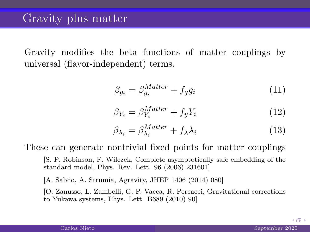Gravity modifies the beta functions of matter couplings by universal (flavor-independent) terms.

$$
\beta_{g_i} = \beta_{g_i}^{Matter} + f_g g_i \tag{11}
$$

$$
\beta_{Y_i} = \beta_{Y_i}^{Matter} + f_y Y_i \tag{12}
$$

$$
\beta_{\lambda_i} = \beta_{\lambda_i}^{Matter} + f_{\lambda} \lambda_i \tag{13}
$$

These can generate nontrivial fixed points for matter couplings

[S. P. Robinson, F. Wilczek, Complete asymptotically safe embedding of the standard model, Phys. Rev. Lett. 96 (2006) 231601]

[A. Salvio, A. Strumia, Agravity, JHEP 1406 (2014) 080]

[O. Zanusso, L. Zambelli, G. P. Vacca, R. Percacci, Gravitational corrections to Yukawa systems, Phys. Lett. B689 (2010) 90]

 $+ 4 + 1 + 1 = 1 + 1 = 1 + 1 = 1$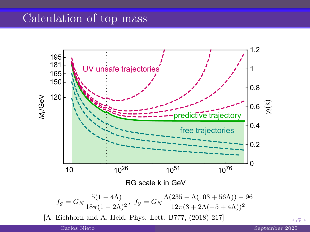## Calculation of top mass



(例)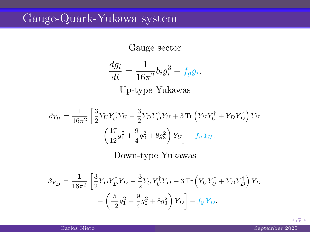## Gauge-Quark-Yukawa system

Gauge sector

$$
\frac{dg_i}{dt} = \frac{1}{16\pi^2} b_i g_i^3 - f_g g_i.
$$
  
Up-type Yukawas

$$
\beta_{Y_U} = \frac{1}{16\pi^2} \left[ \frac{3}{2} Y_U Y_U^{\dagger} Y_U - \frac{3}{2} Y_D Y_D^{\dagger} Y_U + 3 \text{ Tr} \left( Y_U Y_U^{\dagger} + Y_D Y_D^{\dagger} \right) Y_U \right. \\ \left. - \left( \frac{17}{12} g_1^2 + \frac{9}{4} g_2^2 + 8 g_3^2 \right) Y_U \right] - f_y Y_U.
$$

Down-type Yukawas

$$
\beta_{Y_D} = \frac{1}{16\pi^2} \left[ \frac{3}{2} Y_D Y_D^{\dagger} Y_D - \frac{3}{2} Y_U Y_U^{\dagger} Y_D + 3 \text{ Tr} \left( Y_U Y_U^{\dagger} + Y_D Y_D^{\dagger} \right) Y_D - \left( \frac{5}{12} g_1^2 + \frac{9}{4} g_2^2 + 8 g_3^2 \right) Y_D \right] - f_y Y_D.
$$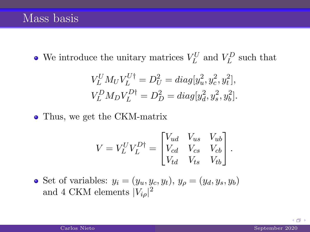We introduce the unitary matrices  $V_L^U$  and  $V_L^D$  such that

$$
V_L^U M_U V_L^{U\dagger} = D_U^2 = diag[y_u^2, y_c^2, y_t^2],
$$
  

$$
V_L^D M_D V_L^{D\dagger} = D_D^2 = diag[y_d^2, y_s^2, y_b^2].
$$

• Thus, we get the CKM-matrix

$$
V = V_L^U V_L^{D\dagger} = \begin{bmatrix} V_{ud} & V_{us} & V_{ub} \\ V_{cd} & V_{cs} & V_{cb} \\ V_{td} & V_{ts} & V_{tb} \end{bmatrix}.
$$

• Set of variables:  $y_i = (y_u, y_c, y_t), y_\rho = (y_d, y_s, y_b)$ and 4 CKM elements  $|V_{i\rho}|^2$ 

4 旬 1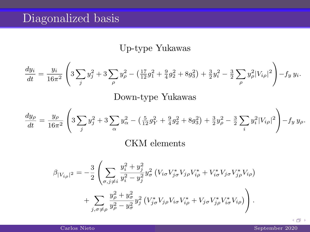# Diagonalized basis

#### Up-type Yukawas

$$
\frac{dy_i}{dt} = \frac{y_i}{16\pi^2} \left( 3\sum_j y_j^2 + 3\sum_\rho y_\rho^2 - \left(\frac{17}{12}g_1^2 + \frac{9}{4}g_2^2 + 8g_3^2\right) + \frac{3}{2}y_i^2 - \frac{3}{2}\sum_\rho y_\rho^2 |V_{i\rho}|^2 \right) - fy \ y_i.
$$

#### Down-type Yukawas

$$
\frac{dy_{\rho}}{dt} = \frac{y_{\rho}}{16\pi^2} \left( 3 \sum_{j} y_j^2 + 3 \sum_{\alpha} y_{\alpha}^2 - \left( \frac{5}{12} g_Y^2 + \frac{9}{4} g_2^2 + 8 g_3^2 \right) + \frac{3}{2} y_{\rho}^2 - \frac{3}{2} \sum_{i} y_i^2 |V_{i\rho}|^2 \right) - f_y y_{\rho}.
$$

#### CKM elements

$$
\beta_{|V_{i\rho}|^{2}} = -\frac{3}{2} \left( \sum_{\sigma,j \neq i} \frac{y_{i}^{2} + y_{j}^{2}}{y_{i}^{2} - y_{j}^{2}} y_{\sigma}^{2} (V_{i\sigma} V_{j\sigma}^{*} V_{j\rho} V_{i\rho}^{*} + V_{i\sigma}^{*} V_{j\sigma} V_{j\rho}^{*} V_{i\rho}) + \sum_{j,\sigma \neq \rho} \frac{y_{\rho}^{2} + y_{\sigma}^{2}}{y_{\rho}^{2} - y_{\sigma}^{2}} y_{j}^{2} (V_{j\sigma}^{*} V_{j\rho} V_{i\sigma} V_{i\rho}^{*} + V_{j\sigma} V_{j\rho}^{*} V_{i\sigma}^{*} V_{i\rho}) \right).
$$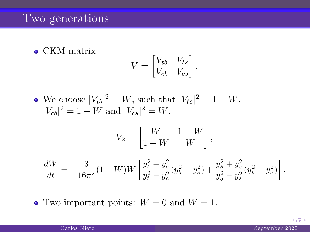#### Two generations

• CKM matrix

$$
V = \begin{bmatrix} V_{tb} & V_{ts} \\ V_{cb} & V_{cs} \end{bmatrix}.
$$

We choose  $|V_{tb}|^2 = W$ , such that  $|V_{ts}|^2 = 1 - W$ ,  $|V_{cb}|^2 = 1 - W$  and  $|V_{cs}|^2 = W$ .

$$
V_2 = \begin{bmatrix} W & 1 - W \\ 1 - W & W \end{bmatrix},
$$

$$
\frac{dW}{dt} = -\frac{3}{16\pi^2}(1-W)W\left[\frac{y_t^2 + y_c^2}{y_t^2 - y_c^2}(y_b^2 - y_s^2) + \frac{y_b^2 + y_s^2}{y_b^2 - y_s^2}(y_t^2 - y_c^2)\right].
$$

• Two important points:  $W = 0$  and  $W = 1$ .

4 伊 )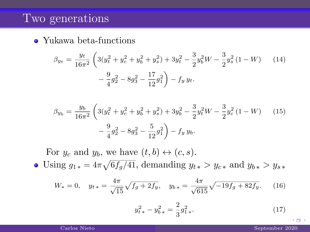#### Two generations

Yukawa beta-functions

$$
\beta_{y_t} = \frac{y_t}{16\pi^2} \left( 3(y_t^2 + y_c^2 + y_b^2 + y_s^2) + 3y_t^2 - \frac{3}{2}y_b^2 W - \frac{3}{2}y_s^2 (1 - W) \right)
$$
\n
$$
- \frac{9}{4}g_2^2 - 8g_3^2 - \frac{17}{12}g_1^2 \right) - f_y y_t.
$$
\n(14)

$$
\beta_{y_b} = \frac{y_b}{16\pi^2} \left( 3(y_t^2 + y_c^2 + y_b^2 + y_s^2) + 3y_b^2 - \frac{3}{2}y_t^2 W - \frac{3}{2}y_c^2 (1 - W) \right)
$$
\n
$$
- \frac{9}{4}g_2^2 - 8g_3^2 - \frac{5}{12}g_1^2 \right) - f_y y_b.
$$
\n(15)

For  $y_c$  and  $y_b$ , we have  $(t, b) \leftrightarrow (c, s)$ .

Using  $g_{1*} = 4\pi \sqrt{6f_g/41}$ , demanding  $y_{t*} > y_{c*}$  and  $y_{b*} > y_{s*}$ 

$$
W_* = 0, \quad y_{t*} = \frac{4\pi}{\sqrt{15}}\sqrt{f_g + 2f_y}, \quad y_{b*} = \frac{4\pi}{\sqrt{615}}\sqrt{-19f_g + 82f_y}.\tag{16}
$$

$$
y_{t*}^2 - y_{b*}^2 = \frac{2}{3}g_{1*}^2.
$$
 (17)

4 伊 )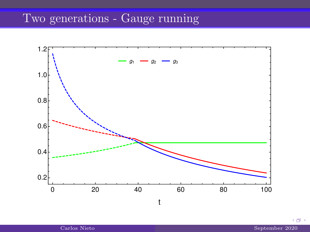# Two generations - Gauge running

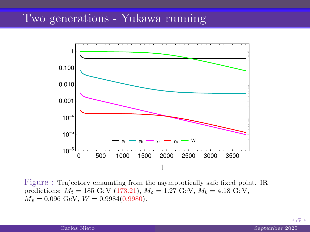### Two generations - Yukawa running



Figure : Trajectory emanating from the asymptotically safe fixed point. IR predictions:  $M_t = 185$  GeV (173.21),  $M_c = 1.27$  GeV,  $M_b = 4.18$  GeV,  $M_s = 0.096$  GeV,  $W = 0.9984(0.9980)$ .

 $(1 - 1)$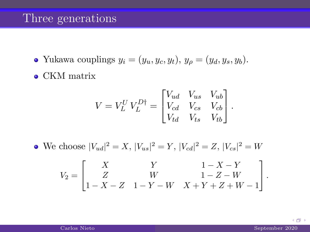#### Three generations

- Yukawa couplings  $y_i = (y_u, y_c, y_t), y_\rho = (y_d, y_s, y_b).$
- CKM matrix

$$
V = V_L^U V_L^{D\dagger} = \begin{bmatrix} V_{ud} & V_{us} & V_{ub} \\ V_{cd} & V_{cs} & V_{cb} \\ V_{td} & V_{ts} & V_{tb} \end{bmatrix}.
$$

We choose  $|V_{ud}|^2 = X$ ,  $|V_{us}|^2 = Y$ ,  $|V_{cd}|^2 = Z$ ,  $|V_{cs}|^2 = W$ 

$$
V_2 = \begin{bmatrix} X & Y & 1 - X - Y \\ Z & W & 1 - Z - W \\ 1 - X - Z & 1 - Y - W & X + Y + Z + W - 1 \end{bmatrix}.
$$

(例)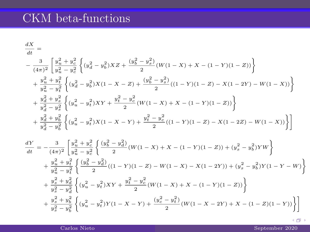# CKM beta-functions

$$
\begin{split} &\frac{dX}{dt}=\nonumber\\ &-\frac{3}{(4\pi)^2}\left[\frac{y_u^2+y_c^2}{y_u^2-y_c^2}\left\{(y_d^2-y_b^2)XZ+\frac{(y_b^2-y_s^2)}{2}(W(1-X)+X-(1-Y)(1-Z))\right\}\\ &+\frac{y_u^2+y_t^2}{y_u^2-y_t^2}\left\{(y_d^2-y_b^2)X(1-X-Z)+\frac{(y_b^2-y_s^2)}{2}((1-Y)(1-Z)-X(1-2Y)-W(1-X))\right\}\\ &+\frac{y_d^2+y_s^2}{y_d^2-y_s^2}\left\{(y_u^2-y_t^2)XY+\frac{y_t^2-y_c^2}{2}(W(1-X)+X-(1-Y)(1-Z))\right\}\\ &+\frac{y_d^2+y_b^2}{y_d^2-y_b^2}\left\{(y_u^2-y_t^2)X(1-X-Y)+\frac{y_t^2-y_c^2}{2}((1-Y)(1-Z)-X(1-2Z)-W(1-X))\right\}\right]\\ &\frac{dY}{dt}=-\frac{3}{(4\pi)^2}\left[\frac{y_u^2+y_c^2}{y_u^2-y_c^2}\left\{\frac{(y_b^2-y_d^2)}{2}(W(1-X)+X-(1-Y)(1-Z))+(y_s^2-y_b^2)YW\right\}\\ &+\frac{y_u^2+y_t^2}{y_u^2-y_t^2}\left\{\frac{(y_b^2-y_d^2)}{2}((1-Y)(1-Z)-W(1-X)-X(1-2Y))+(y_s^2-y_b^2)Y(1-Y-W)\right\}\\ &+\frac{y_s^2+y_d^2}{y_s^2-y_d^2}\left\{(y_u^2-y_t^2)XY+\frac{y_t^2-y_c^2}{2}(W(1-X)+X-(1-Y)(1-Z))\right\}\\ &+\frac{y_s^2+y_b^2}{y_s^2-y_a^2}\left\{(y_u^2-y_t^2)Y(1-X-Y)+\frac{(y_c^2-y_t^2)}{2}(W(1-X-2Y)+X-(1-Z)(1-Y))\right\}\end{split}
$$

Carlos Nieto September 2020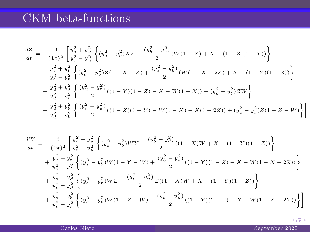# CKM beta-functions

$$
\begin{split} \frac{dZ}{dt}=&-\frac{3}{(4\pi)^2}\left[\frac{y_c^2+y_u^2}{y_c^2-y_u^2}\left\{(y_d^2-y_b^2)XZ+\frac{(y_b^2-y_s^2)}{2}(W(1-X)+X-(1-Z)(1-Y))\right\} \right.\\ &+\left.\frac{y_c^2+y_t^2}{y_c^2-y_t^2}\left\{(y_d^2-y_b^2)Z(1-X-Z)+\frac{(y_s^2-y_b^2)}{2}(W(1-X-2Z)+X-(1-Y)(1-Z))\right\} \right.\\ &+\left.\frac{y_d^2+y_s^2}{y_d^2-y_s^2}\left\{\frac{(y_u^2-y_t^2)}{2}((1-Y)(1-Z)-X-W(1-X))+(y_c^2-y_t^2)ZW\right\} \right.\\ &+\left.\frac{y_d^2+y_b^2}{y_d^2-y_b^2}\left\{\frac{(y_t^2-y_u^2)}{2}((1-Z)(1-Y)-W(1-X)-X(1-2Z))+(y_c^2-y_t^2)Z(1-Z-W)\right\}\right] \end{split}
$$

$$
\begin{split} \frac{dW}{dt}=&-\frac{3}{(4\pi)^2}\left[\frac{y_c^2+y_u^2}{y_c^2-y_d^2}\left\{(y_s^2-y_b^2)WY+\frac{(y_b^2-y_d^2)}{2}((1-X)W+X-(1-Y)(1-Z))\right\}\right.\\ &+\left.\frac{y_c^2+y_t^2}{y_c^2-y_t^2}\left\{(y_s^2-y_b^2)W(1-Y-W)+\frac{(y_b^2-y_d^2)}{2}((1-Y)(1-Z)-X-W(1-X-2Z))\right\}\right.\\ &+\left.\frac{y_s^2+y_d^2}{y_s^2-y_d^2}\left\{(y_c^2-y_t^2)WZ+\frac{(y_t^2-y_u^2)}{2}Z((1-X)W+X-(1-Y)(1-Z))\right\}\right.\\ &+\left.\frac{y_s^2+y_b^2}{y_s^2-y_b^2}\left\{(y_c^2-y_t^2)W(1-Z-W)+\frac{(y_t^2-y_u^2)}{2}((1-Y)(1-Z)-X-W(1-X-2Y))\right\}\right] \end{split}
$$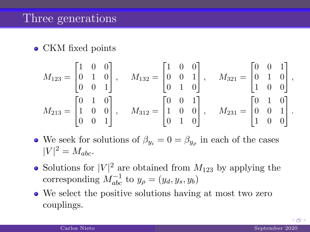#### • CKM fixed points

$$
M_{123} = \begin{bmatrix} 1 & 0 & 0 \\ 0 & 1 & 0 \\ 0 & 0 & 1 \end{bmatrix}, \quad M_{132} = \begin{bmatrix} 1 & 0 & 0 \\ 0 & 0 & 1 \\ 0 & 1 & 0 \end{bmatrix}, \quad M_{321} = \begin{bmatrix} 0 & 0 & 1 \\ 0 & 1 & 0 \\ 1 & 0 & 0 \end{bmatrix},
$$
  

$$
M_{213} = \begin{bmatrix} 0 & 1 & 0 \\ 1 & 0 & 0 \\ 0 & 0 & 1 \end{bmatrix}, \quad M_{312} = \begin{bmatrix} 0 & 0 & 1 \\ 1 & 0 & 0 \\ 0 & 1 & 0 \end{bmatrix}, \quad M_{231} = \begin{bmatrix} 0 & 1 & 0 \\ 0 & 0 & 1 \\ 1 & 0 & 0 \end{bmatrix}.
$$

- We seek for solutions of  $\beta_{y_i} = 0 = \beta_{y_\rho}$  in each of the cases  $|V|^2 = M_{abc}.$
- Solutions for  $|V|^2$  are obtained from  $M_{123}$  by applying the corresponding  $M_{abc}^{-1}$  to  $y_{\rho} = (y_d, y_s, y_b)$
- We select the positive solutions having at most two zero couplings.

4 @ )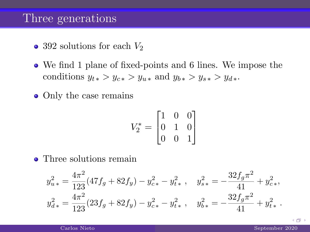#### Three generations

- 392 solutions for each  $V_2$
- We find 1 plane of fixed-points and 6 lines. We impose the conditions  $y_{t*} > y_{c*} > y_{u*}$  and  $y_{b*} > y_{s*} > y_{d*}$ .
- Only the case remains

$$
V_2^* = \begin{bmatrix} 1 & 0 & 0 \\ 0 & 1 & 0 \\ 0 & 0 & 1 \end{bmatrix}
$$

• Three solutions remain

$$
y_{u*}^2 = \frac{4\pi^2}{123}(47f_g + 82f_y) - y_{c*}^2 - y_{t*}^2, \quad y_{s*}^2 = -\frac{32f_g\pi^2}{41} + y_{c*}^2,
$$
  

$$
y_{d*}^2 = \frac{4\pi^2}{123}(23f_g + 82f_y) - y_{c*}^2 - y_{t*}^2, \quad y_{b*}^2 = -\frac{32f_g\pi^2}{41} + y_{t*}^2.
$$

 $+ 4 + 1 + 1 = 1 + 1 = 1 + 1 = 1$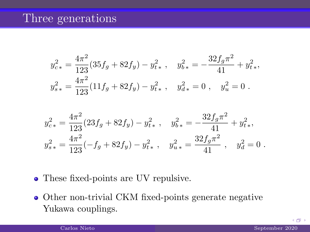#### Three generations

$$
y_{c*}^2 = \frac{4\pi^2}{123}(35f_g + 82f_y) - y_{t*}^2, \quad y_{b*}^2 = -\frac{32f_g\pi^2}{41} + y_{t*}^2,
$$
  

$$
y_{s*}^2 = \frac{4\pi^2}{123}(11f_g + 82f_y) - y_{t*}^2, \quad y_{d*}^2 = 0, \quad y_u^2 = 0.
$$

$$
y_{c*}^2 = \frac{4\pi^2}{123}(23f_g + 82f_y) - y_{t*}^2, \quad y_{b*}^2 = -\frac{32f_g\pi^2}{41} + y_{t*}^2,
$$
  

$$
y_{s*}^2 = \frac{4\pi^2}{123}(-f_g + 82f_y) - y_{t*}^2, \quad y_{u*}^2 = \frac{32f_g\pi^2}{41}, \quad y_d^2 = 0.
$$

- These fixed-points are UV repulsive.
- Other non-trivial CKM fixed-points generate negative Yukawa couplings.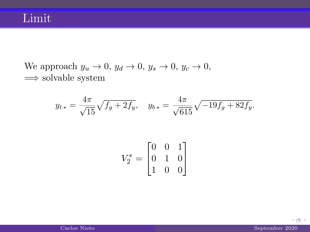We approach  $y_u \to 0$ ,  $y_d \to 0$ ,  $y_s \to 0$ ,  $y_c \to 0$ ,  $\implies$  solvable system

$$
y_{t*} = \frac{4\pi}{\sqrt{15}} \sqrt{f_g + 2f_y}, \quad y_{b*} = \frac{4\pi}{\sqrt{615}} \sqrt{-19f_g + 82f_y}.
$$

$$
V_2^* = \begin{bmatrix} 0 & 0 & 1 \\ 0 & 1 & 0 \\ 1 & 0 & 0 \end{bmatrix}
$$

 $\leftarrow$   $\oplus$   $\rightarrow$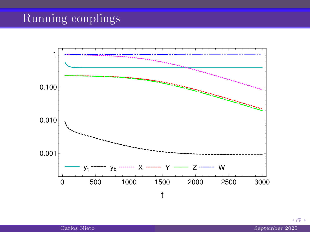# Running couplings

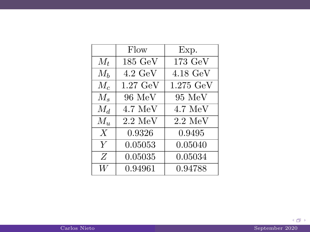|                  | Flow               | Exp.                  |
|------------------|--------------------|-----------------------|
| $M_t$            | $185 \text{ GeV}$  | 173 GeV               |
| $M_h$            | $4.2 \text{ GeV}$  | $4.18 \text{ GeV}$    |
| $M_c$            | $1.27 \text{ GeV}$ | $1.275\,\mathrm{GeV}$ |
| $M_s$            | 96 MeV             | 95 MeV                |
| $M_d$            | $4.7 \text{ MeV}$  | $4.7 \text{ MeV}$     |
| $M_u$            | $2.2 \text{ MeV}$  | $2.2 \text{ MeV}$     |
| $\boldsymbol{X}$ | 0.9326             | 0.9495                |
| Y                | 0.05053            | 0.05040               |
| Z                | 0.05035            | 0.05034               |
| W                | 0.94961            | 0.94788               |

 $\leftarrow$   $\oplus$   $\rightarrow$